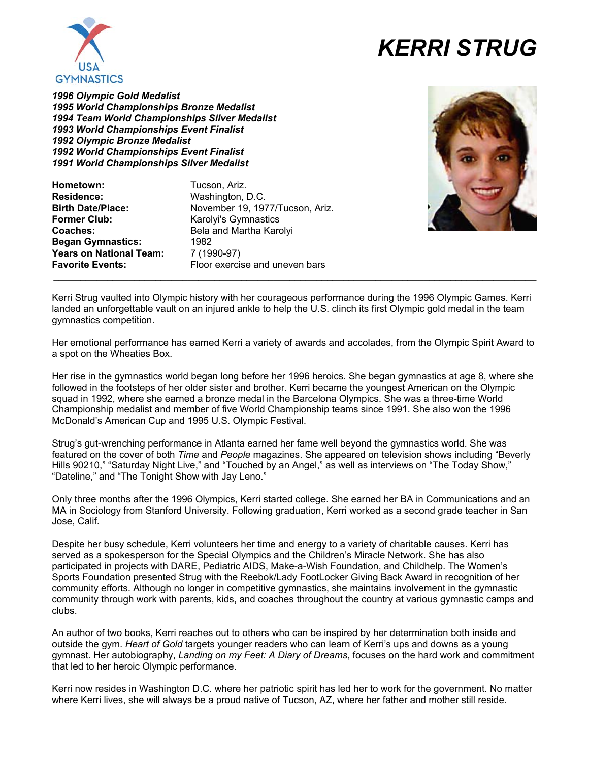

## *KERRI STRUG*

*1996 Olympic Gold Medalist 1995 World Championships Bronze Medalist 1994 Team World Championships Silver Medalist 1993 World Championships Event Finalist 1992 Olympic Bronze Medalist 1992 World Championships Event Finalist 1991 World Championships Silver Medalist* 

**Hometown:** Tucson, Ariz. **Residence:** Washington, D.C. **Birth Date/Place:** November 19, 1977/Tucson, Ariz. **Former Club:** Karolyi's Gymnastics<br> **Coaches:** Bela and Martha Karolying **Began Gymnastics:** 1982 **Years on National Team:** 7 (1990-97) **Favorite Events:** Floor exercise and uneven bars

**Coaches:** Bela and Martha Karolyi  $\_$  . The contribution of the contribution of the contribution of the contribution of the contribution of the contribution of the contribution of the contribution of the contribution of the contribution of the contributio



Kerri Strug vaulted into Olympic history with her courageous performance during the 1996 Olympic Games. Kerri landed an unforgettable vault on an injured ankle to help the U.S. clinch its first Olympic gold medal in the team gymnastics competition.

Her emotional performance has earned Kerri a variety of awards and accolades, from the Olympic Spirit Award to a spot on the Wheaties Box.

Her rise in the gymnastics world began long before her 1996 heroics. She began gymnastics at age 8, where she followed in the footsteps of her older sister and brother. Kerri became the youngest American on the Olympic squad in 1992, where she earned a bronze medal in the Barcelona Olympics. She was a three-time World Championship medalist and member of five World Championship teams since 1991. She also won the 1996 McDonald's American Cup and 1995 U.S. Olympic Festival.

Strug's gut-wrenching performance in Atlanta earned her fame well beyond the gymnastics world. She was featured on the cover of both *Time* and *People* magazines. She appeared on television shows including "Beverly Hills 90210," "Saturday Night Live," and "Touched by an Angel," as well as interviews on "The Today Show," "Dateline," and "The Tonight Show with Jay Leno."

Only three months after the 1996 Olympics, Kerri started college. She earned her BA in Communications and an MA in Sociology from Stanford University. Following graduation, Kerri worked as a second grade teacher in San Jose, Calif.

Despite her busy schedule, Kerri volunteers her time and energy to a variety of charitable causes. Kerri has served as a spokesperson for the Special Olympics and the Children's Miracle Network. She has also participated in projects with DARE, Pediatric AIDS, Make-a-Wish Foundation, and Childhelp. The Women's Sports Foundation presented Strug with the Reebok/Lady FootLocker Giving Back Award in recognition of her community efforts. Although no longer in competitive gymnastics, she maintains involvement in the gymnastic community through work with parents, kids, and coaches throughout the country at various gymnastic camps and clubs.

An author of two books, Kerri reaches out to others who can be inspired by her determination both inside and outside the gym. *Heart of Gold* targets younger readers who can learn of Kerri's ups and downs as a young gymnast. Her autobiography, *Landing on my Feet: A Diary of Dreams*, focuses on the hard work and commitment that led to her heroic Olympic performance.

Kerri now resides in Washington D.C. where her patriotic spirit has led her to work for the government. No matter where Kerri lives, she will always be a proud native of Tucson, AZ, where her father and mother still reside.